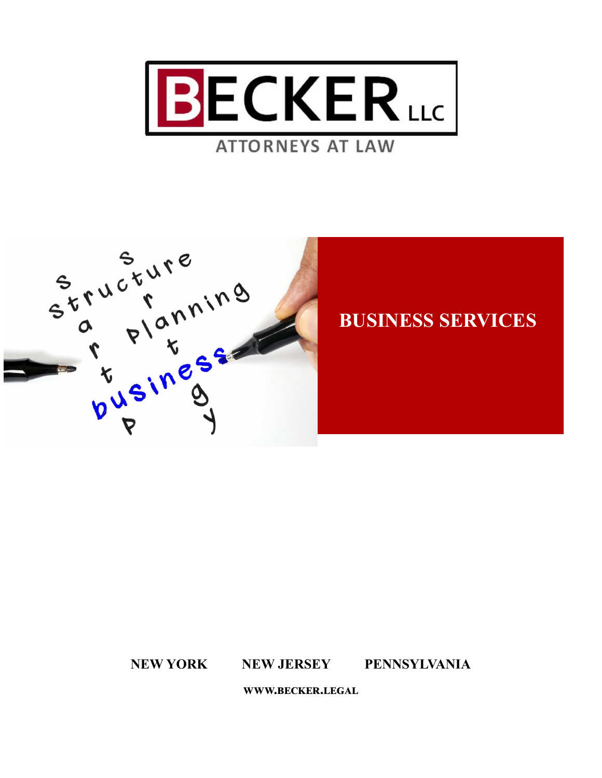

# **ATTORNEYS AT LAW**



# **BUSINESS SERVICES**

NEW YORK NEW JERSEY PENNSYLVANIA

**www.becker.legal**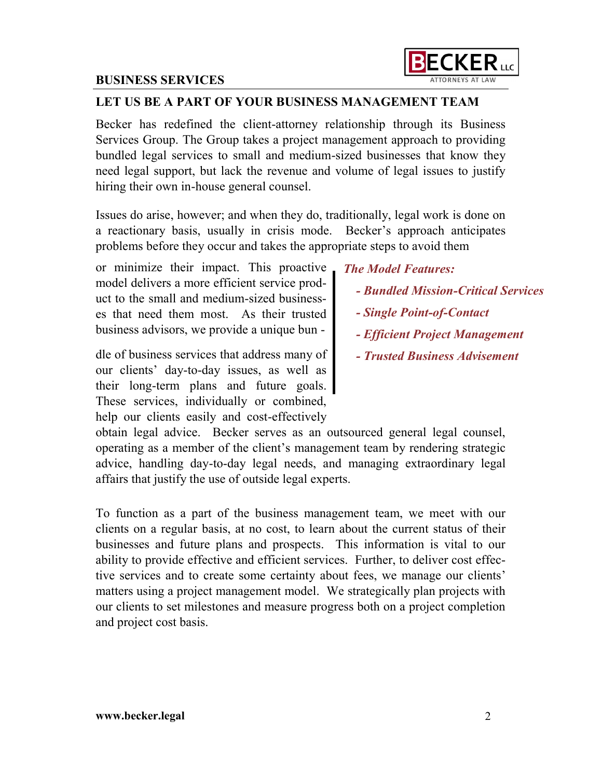#### **BUSINESS SERVICES**



## **LET US BE A PART OF YOUR BUSINESS MANAGEMENT TEAM**

Becker has redefined the client-attorney relationship through its Business Services Group. The Group takes a project management approach to providing bundled legal services to small and medium-sized businesses that know they need legal support, but lack the revenue and volume of legal issues to justify hiring their own in-house general counsel.

Issues do arise, however; and when they do, traditionally, legal work is done on a reactionary basis, usually in crisis mode. Becker's approach anticipates problems before they occur and takes the appropriate steps to avoid them

or minimize their impact. This proactive model delivers a more efficient service product to the small and medium-sized businesses that need them most. As their trusted business advisors, we provide a unique bun -

dle of business services that address many of our clients' day-to-day issues, as well as their long-term plans and future goals. These services, individually or combined, help our clients easily and cost-effectively

- *The Model Features:* 
	- *- Bundled Mission-Critical Services*
	- *- Single Point-of-Contact*
	- *- Efficient Project Management*
	- *- Trusted Business Advisement*

obtain legal advice. Becker serves as an outsourced general legal counsel, operating as a member of the client's management team by rendering strategic advice, handling day-to-day legal needs, and managing extraordinary legal affairs that justify the use of outside legal experts.

To function as a part of the business management team, we meet with our clients on a regular basis, at no cost, to learn about the current status of their businesses and future plans and prospects. This information is vital to our ability to provide effective and efficient services. Further, to deliver cost effective services and to create some certainty about fees, we manage our clients' matters using a project management model. We strategically plan projects with our clients to set milestones and measure progress both on a project completion and project cost basis.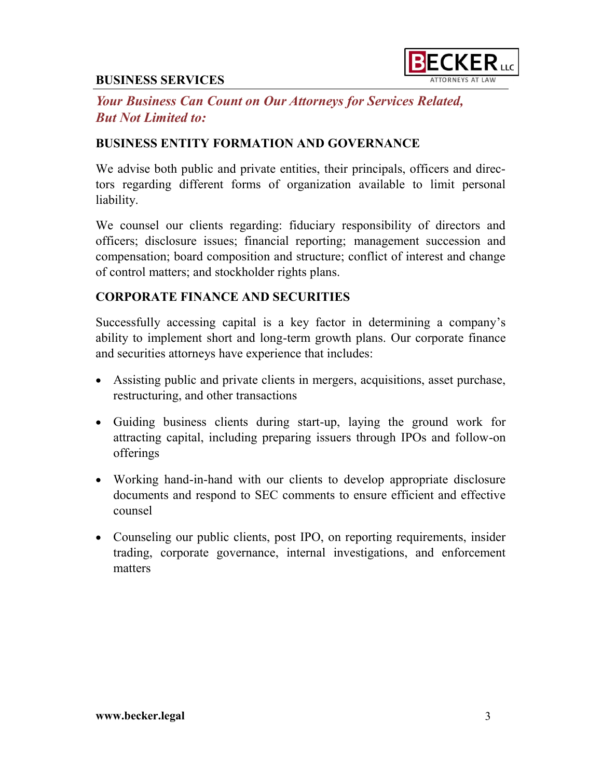



# *Your Business Can Count on Our Attorneys for Services Related, But Not Limited to:*

## **BUSINESS ENTITY FORMATION AND GOVERNANCE**

We advise both public and private entities, their principals, officers and directors regarding different forms of organization available to limit personal liability.

We counsel our clients regarding: fiduciary responsibility of directors and officers; disclosure issues; financial reporting; management succession and compensation; board composition and structure; conflict of interest and change of control matters; and stockholder rights plans.

## **CORPORATE FINANCE AND SECURITIES**

Successfully accessing capital is a key factor in determining a company's ability to implement short and long-term growth plans. Our corporate finance and securities attorneys have experience that includes:

- Assisting public and private clients in mergers, acquisitions, asset purchase, restructuring, and other transactions
- Guiding business clients during start-up, laying the ground work for attracting capital, including preparing issuers through IPOs and follow-on offerings
- Working hand-in-hand with our clients to develop appropriate disclosure documents and respond to SEC comments to ensure efficient and effective counsel
- Counseling our public clients, post IPO, on reporting requirements, insider trading, corporate governance, internal investigations, and enforcement matters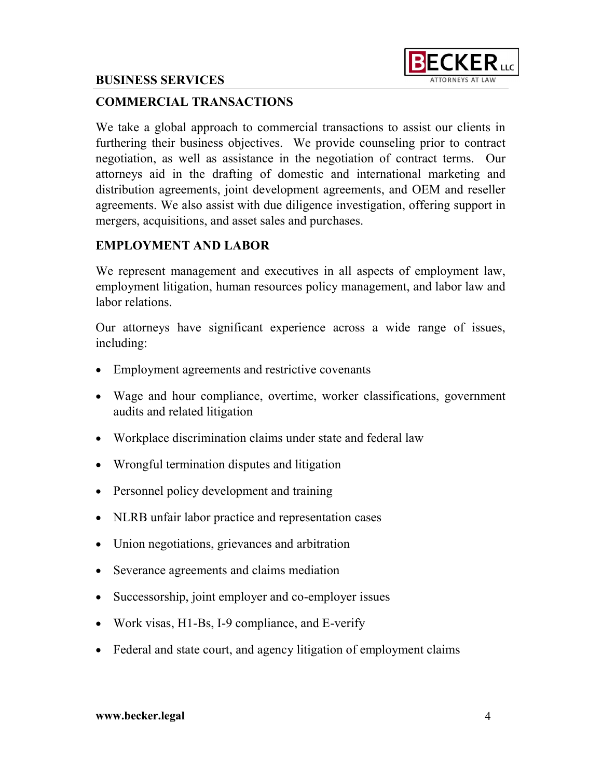#### **BUSINESS SERVICES**



## **COMMERCIAL TRANSACTIONS**

We take a global approach to commercial transactions to assist our clients in furthering their business objectives. We provide counseling prior to contract negotiation, as well as assistance in the negotiation of contract terms. Our attorneys aid in the drafting of domestic and international marketing and distribution agreements, joint development agreements, and OEM and reseller agreements. We also assist with due diligence investigation, offering support in mergers, acquisitions, and asset sales and purchases.

#### **EMPLOYMENT AND LABOR**

We represent management and executives in all aspects of employment law, employment litigation, human resources policy management, and labor law and labor relations.

Our attorneys have significant experience across a wide range of issues, including:

- Employment agreements and restrictive covenants
- Wage and hour compliance, overtime, worker classifications, government audits and related litigation
- Workplace discrimination claims under state and federal law
- Wrongful termination disputes and litigation
- Personnel policy development and training
- NLRB unfair labor practice and representation cases
- Union negotiations, grievances and arbitration
- Severance agreements and claims mediation
- Successorship, joint employer and co-employer issues
- Work visas, H1-Bs, I-9 compliance, and E-verify
- Federal and state court, and agency litigation of employment claims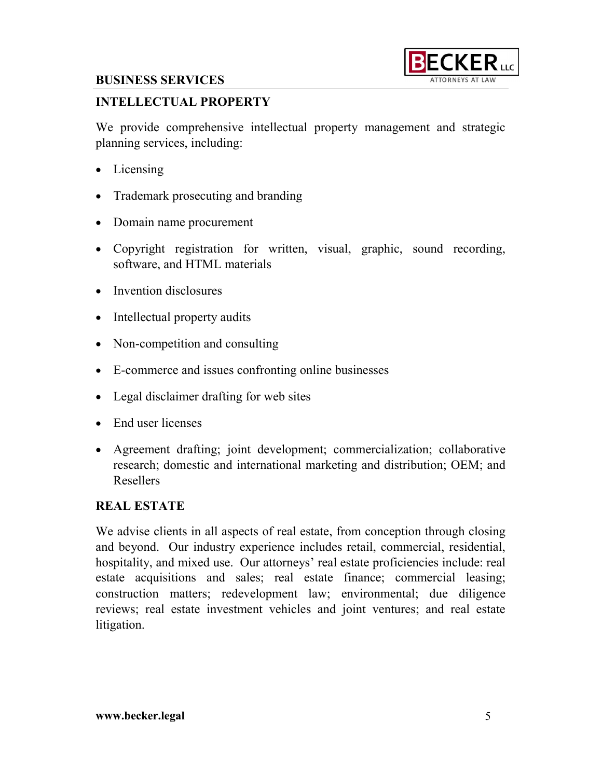#### **BUSINESS SERVICES**



## **INTELLECTUAL PROPERTY**

We provide comprehensive intellectual property management and strategic planning services, including:

- Licensing
- Trademark prosecuting and branding
- Domain name procurement
- Copyright registration for written, visual, graphic, sound recording, software, and HTML materials
- Invention disclosures
- Intellectual property audits
- Non-competition and consulting
- E-commerce and issues confronting online businesses
- Legal disclaimer drafting for web sites
- End user licenses
- Agreement drafting; joint development; commercialization; collaborative research; domestic and international marketing and distribution; OEM; and Resellers

#### **REAL ESTATE**

We advise clients in all aspects of real estate, from conception through closing and beyond. Our industry experience includes retail, commercial, residential, hospitality, and mixed use. Our attorneys' real estate proficiencies include: real estate acquisitions and sales; real estate finance; commercial leasing; construction matters; redevelopment law; environmental; due diligence reviews; real estate investment vehicles and joint ventures; and real estate litigation.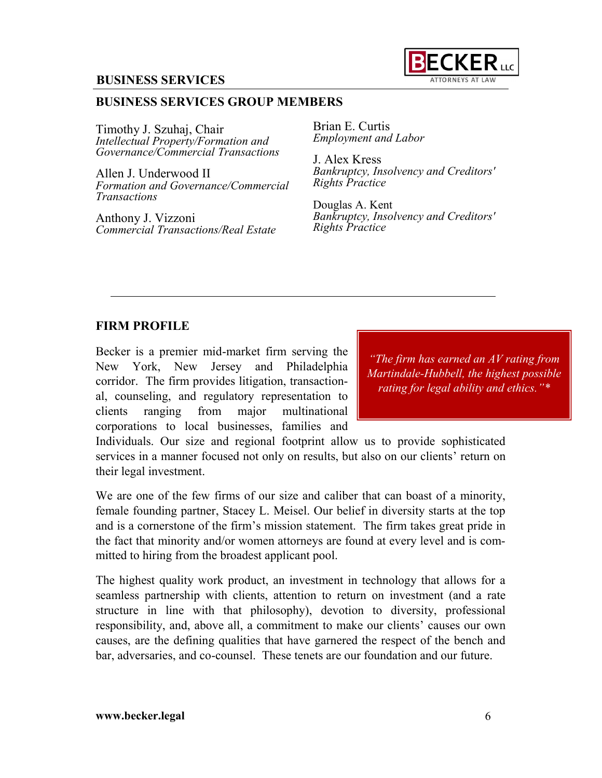



#### **BUSINESS SERVICES GROUP MEMBERS**

Timothy J. Szuhaj, Chair *Intellectual Property/Formation and Governance/Commercial Transactions*

Allen J. Underwood II *Formation and Governance/Commercial Transactions*

Anthony J. Vizzoni *Commercial Transactions/Real Estate* Brian E. Curtis *Employment and Labor*

J. Alex Kress *Bankruptcy, Insolvency and Creditors' Rights Practice*

Douglas A. Kent *Bankruptcy, Insolvency and Creditors' Rights Practice*

## **FIRM PROFILE**

Becker is a premier mid-market firm serving the New York, New Jersey and Philadelphia corridor. The firm provides litigation, transactional, counseling, and regulatory representation to clients ranging from major multinational corporations to local businesses, families and

*"The firm has earned an AV rating from Martindale-Hubbell, the highest possible rating for legal ability and ethics."\**

Individuals. Our size and regional footprint allow us to provide sophisticated services in a manner focused not only on results, but also on our clients' return on their legal investment.

We are one of the few firms of our size and caliber that can boast of a minority, female founding partner, Stacey L. Meisel. Our belief in diversity starts at the top and is a cornerstone of the firm's mission statement. The firm takes great pride in the fact that minority and/or women attorneys are found at every level and is committed to hiring from the broadest applicant pool.

The highest quality work product, an investment in technology that allows for a seamless partnership with clients, attention to return on investment (and a rate structure in line with that philosophy), devotion to diversity, professional responsibility, and, above all, a commitment to make our clients' causes our own causes, are the defining qualities that have garnered the respect of the bench and bar, adversaries, and co-counsel. These tenets are our foundation and our future.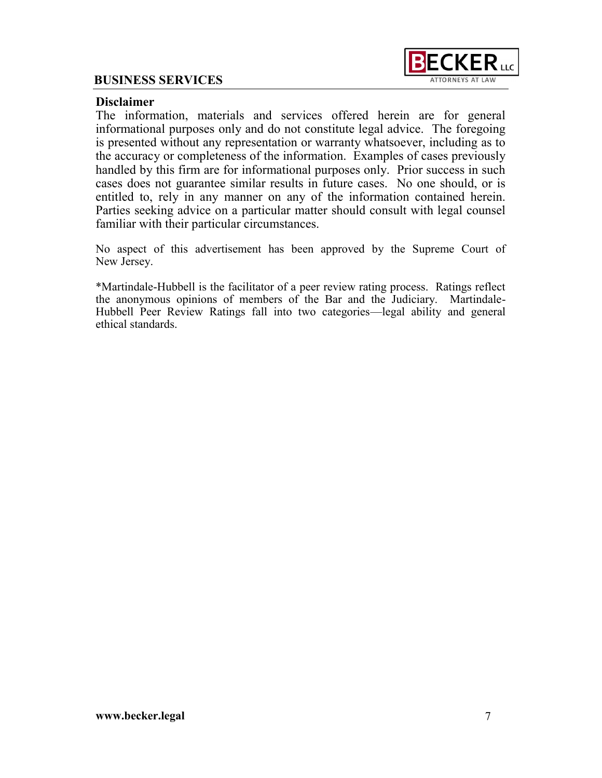

#### **Disclaimer**

The information, materials and services offered herein are for general informational purposes only and do not constitute legal advice. The foregoing is presented without any representation or warranty whatsoever, including as to the accuracy or completeness of the information. Examples of cases previously handled by this firm are for informational purposes only. Prior success in such cases does not guarantee similar results in future cases. No one should, or is entitled to, rely in any manner on any of the information contained herein. Parties seeking advice on a particular matter should consult with legal counsel familiar with their particular circumstances.

No aspect of this advertisement has been approved by the Supreme Court of New Jersey.

\*Martindale-Hubbell is the facilitator of a peer review rating process. Ratings reflect the anonymous opinions of members of the Bar and the Judiciary. Martindale-Hubbell Peer Review Ratings fall into two categories—legal ability and general ethical standards.